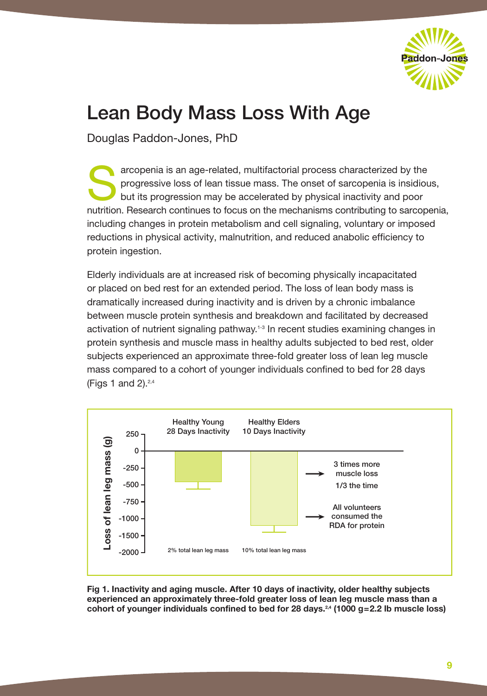

# Lean Body Mass Loss With Age

Douglas Paddon-Jones, PhD

arcopenia is an age-related, multifactorial process characterized by the progressive loss of lean tissue mass. The onset of sarcopenia is insidious but its progression may be accelerated by physical inactivity and poor progressive loss of lean tissue mass. The onset of sarcopenia is insidious, but its progression may be accelerated by physical inactivity and poor nutrition. Research continues to focus on the mechanisms contributing to sarcopenia, including changes in protein metabolism and cell signaling, voluntary or imposed reductions in physical activity, malnutrition, and reduced anabolic efficiency to protein ingestion.

Elderly individuals are at increased risk of becoming physically incapacitated or placed on bed rest for an extended period. The loss of lean body mass is dramatically increased during inactivity and is driven by a chronic imbalance between muscle protein synthesis and breakdown and facilitated by decreased activation of nutrient signaling pathway.<sup>1-3</sup> In recent studies examining changes in protein synthesis and muscle mass in healthy adults subjected to bed rest, older subjects experienced an approximate three-fold greater loss of lean leg muscle mass compared to a cohort of younger individuals confined to bed for 28 days (Figs 1 and 2). $2,4$ 



**Fig 1. Inactivity and aging muscle. After 10 days of inactivity, older healthy subjects experienced an approximately three-fold greater loss of lean leg muscle mass than a**  cohort of younger individuals confined to bed for 28 days.<sup>24</sup> (1000 g=2.2 lb muscle loss)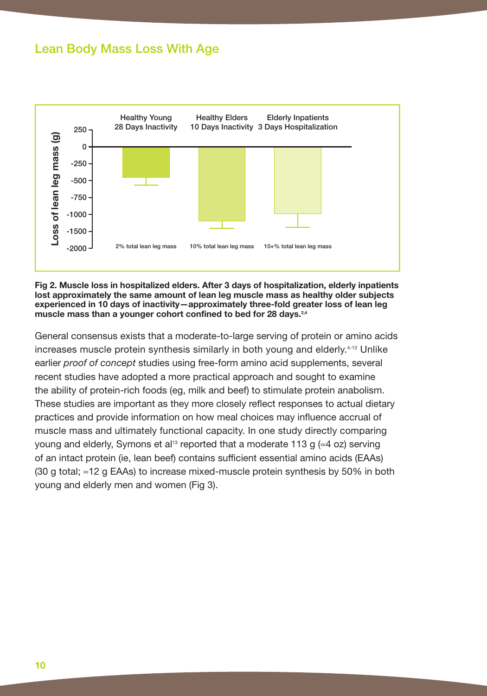### Lean Body Mass Loss With Age



**Fig 2. Muscle loss in hospitalized elders. After 3 days of hospitalization, elderly inpatients lost approximately the same amount of lean leg muscle mass as healthy older subjects experienced in 10 days of inactivity—approximately three-fold greater loss of lean leg muscle mass than a younger cohort confined to bed for 28 days.2,4**

General consensus exists that a moderate-to-large serving of protein or amino acids increases muscle protein synthesis similarly in both young and elderly.4-12 Unlike earlier *proof of concept* studies using free-form amino acid supplements, several recent studies have adopted a more practical approach and sought to examine the ability of protein-rich foods (eg, milk and beef) to stimulate protein anabolism. These studies are important as they more closely reflect responses to actual dietary practices and provide information on how meal choices may influence accrual of muscle mass and ultimately functional capacity. In one study directly comparing young and elderly, Symons et al<sup>13</sup> reported that a moderate 113 g ( $\approx$ 4 oz) serving of an intact protein (ie, lean beef) contains sufficient essential amino acids (EAAs) (30 g total; ≈12 g EAAs) to increase mixed-muscle protein synthesis by 50% in both young and elderly men and women (Fig 3).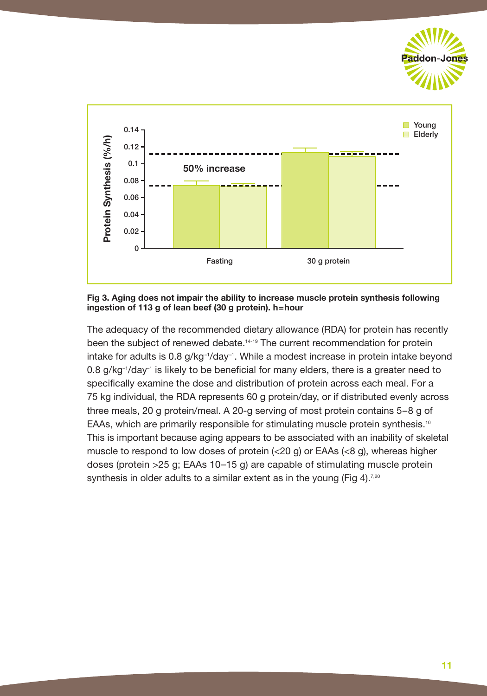



**Fig 3. Aging does not impair the ability to increase muscle protein synthesis following ingestion of 113 g of lean beef (30 g protein). h=hour**

The adequacy of the recommended dietary allowance (RDA) for protein has recently been the subject of renewed debate.<sup>14-19</sup> The current recommendation for protein intake for adults is  $0.8$  g/kg $^{-1}$ /day $^{-1}$ . While a modest increase in protein intake beyond  $0.8$  g/kg<sup>-1</sup>/day<sup>-1</sup> is likely to be beneficial for many elders, there is a greater need to specifically examine the dose and distribution of protein across each meal. For a 75 kg individual, the RDA represents 60 g protein/day, or if distributed evenly across three meals, 20 g protein/meal. A 20-g serving of most protein contains 5–8 g of EAAs, which are primarily responsible for stimulating muscle protein synthesis.<sup>10</sup> This is important because aging appears to be associated with an inability of skeletal muscle to respond to low doses of protein  $\left( < 20 \right)$  or EAAs  $\left( < 8 \right)$ , whereas higher doses (protein >25 g; EAAs 10–15 g) are capable of stimulating muscle protein synthesis in older adults to a similar extent as in the young (Fig 4).<sup>7,20</sup>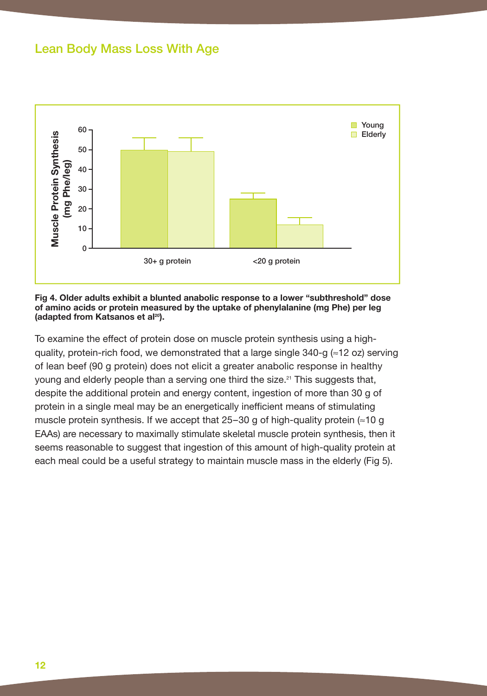### Lean Body Mass Loss With Age



#### **Fig 4. Older adults exhibit a blunted anabolic response to a lower "subthreshold" dose of amino acids or protein measured by the uptake of phenylalanine (mg Phe) per leg**  (adapted from Katsanos et al<sup>20</sup>).

To examine the effect of protein dose on muscle protein synthesis using a highquality, protein-rich food, we demonstrated that a large single  $340-q \approx 12$  oz) serving of lean beef (90 g protein) does not elicit a greater anabolic response in healthy young and elderly people than a serving one third the size.<sup>21</sup> This suggests that, despite the additional protein and energy content, ingestion of more than 30 g of protein in a single meal may be an energetically inefficient means of stimulating muscle protein synthesis. If we accept that  $25-30$  g of high-quality protein ( $\approx$ 10 g EAAs) are necessary to maximally stimulate skeletal muscle protein synthesis, then it seems reasonable to suggest that ingestion of this amount of high-quality protein at each meal could be a useful strategy to maintain muscle mass in the elderly (Fig 5).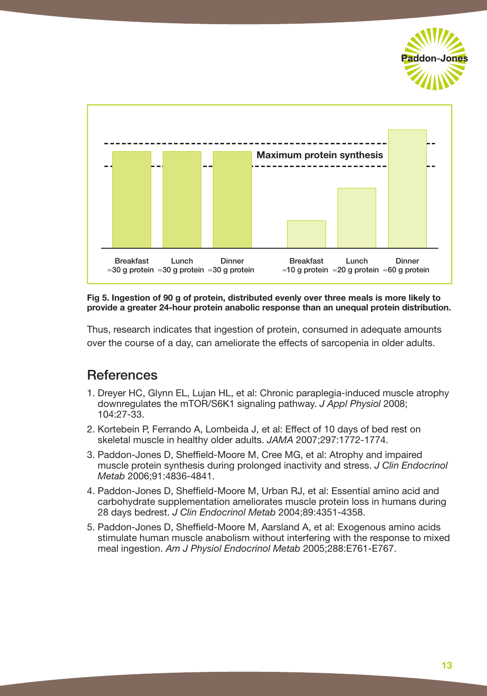



**Fig 5. Ingestion of 90 g of protein, distributed evenly over three meals is more likely to provide a greater 24-hour protein anabolic response than an unequal protein distribution.**

Thus, research indicates that ingestion of protein, consumed in adequate amounts over the course of a day, can ameliorate the effects of sarcopenia in older adults.

## **References**

- 1. Dreyer HC, Glynn EL, Lujan HL, et al: Chronic paraplegia-induced muscle atrophy downregulates the mTOR/S6K1 signaling pathway. *J Appl Physiol* 2008; 104:27-33.
- 2. Kortebein P, Ferrando A, Lombeida J, et al: Effect of 10 days of bed rest on skeletal muscle in healthy older adults. *JAMA* 2007;297:1772-1774.
- 3. Paddon-Jones D, Sheffield-Moore M, Cree MG, et al: Atrophy and impaired muscle protein synthesis during prolonged inactivity and stress. *J Clin Endocrinol Metab* 2006;91:4836-4841.
- 4. Paddon-Jones D, Sheffield-Moore M, Urban RJ, et al: Essential amino acid and carbohydrate supplementation ameliorates muscle protein loss in humans during 28 days bedrest. *J Clin Endocrinol Metab* 2004;89:4351-4358.
- 5. Paddon-Jones D, Sheffield-Moore M, Aarsland A, et al: Exogenous amino acids stimulate human muscle anabolism without interfering with the response to mixed meal ingestion. *Am J Physiol Endocrinol Metab* 2005;288:E761-E767.